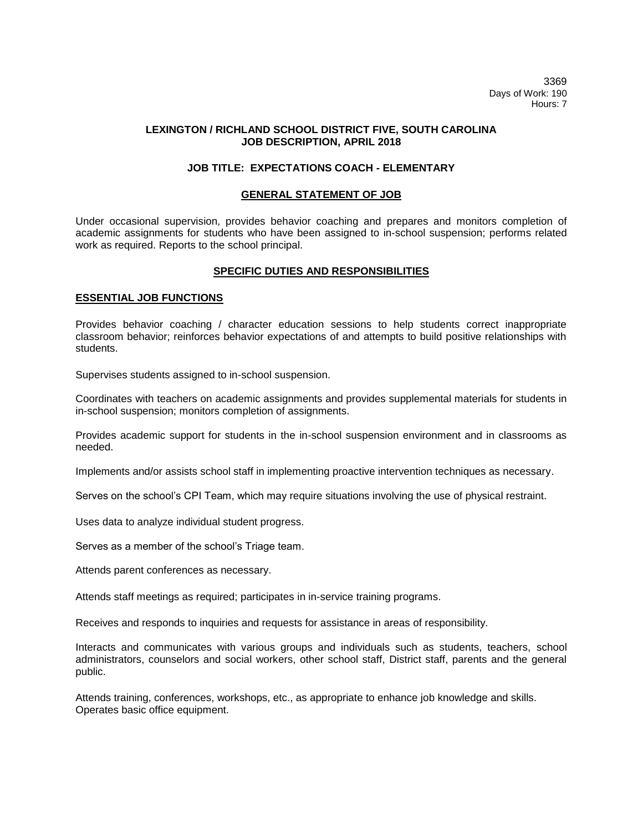3369 Days of Work: 190 Hours: 7

## **LEXINGTON / RICHLAND SCHOOL DISTRICT FIVE, SOUTH CAROLINA JOB DESCRIPTION, APRIL 2018**

# **JOB TITLE: EXPECTATIONS COACH - ELEMENTARY**

### **GENERAL STATEMENT OF JOB**

Under occasional supervision, provides behavior coaching and prepares and monitors completion of academic assignments for students who have been assigned to in-school suspension; performs related work as required. Reports to the school principal.

# **SPECIFIC DUTIES AND RESPONSIBILITIES**

# **ESSENTIAL JOB FUNCTIONS**

Provides behavior coaching / character education sessions to help students correct inappropriate classroom behavior; reinforces behavior expectations of and attempts to build positive relationships with students.

Supervises students assigned to in-school suspension.

Coordinates with teachers on academic assignments and provides supplemental materials for students in in-school suspension; monitors completion of assignments.

Provides academic support for students in the in-school suspension environment and in classrooms as needed.

Implements and/or assists school staff in implementing proactive intervention techniques as necessary.

Serves on the school's CPI Team, which may require situations involving the use of physical restraint.

Uses data to analyze individual student progress.

Serves as a member of the school's Triage team.

Attends parent conferences as necessary.

Attends staff meetings as required; participates in in-service training programs.

Receives and responds to inquiries and requests for assistance in areas of responsibility.

Interacts and communicates with various groups and individuals such as students, teachers, school administrators, counselors and social workers, other school staff, District staff, parents and the general public.

Attends training, conferences, workshops, etc., as appropriate to enhance job knowledge and skills. Operates basic office equipment.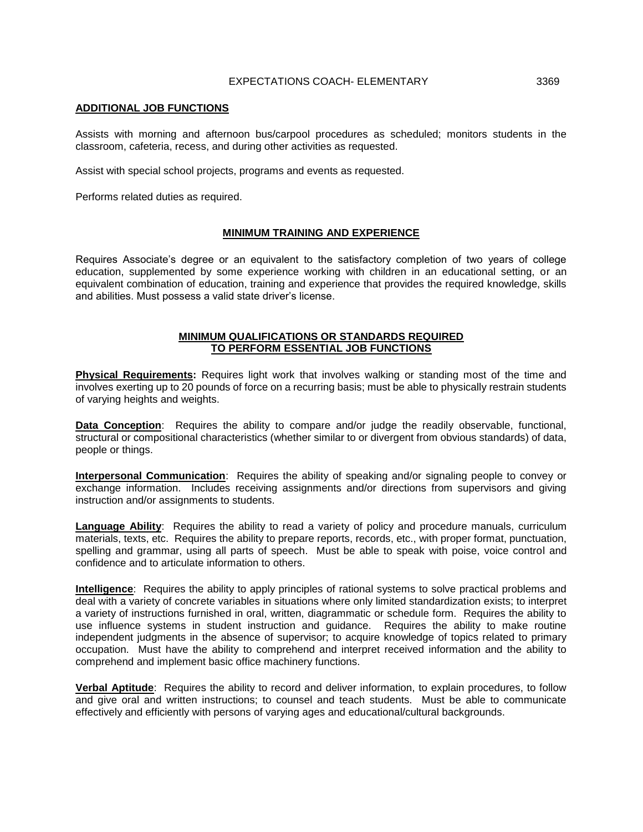## EXPECTATIONS COACH- ELEMENTARY 3369

#### **ADDITIONAL JOB FUNCTIONS**

Assists with morning and afternoon bus/carpool procedures as scheduled; monitors students in the classroom, cafeteria, recess, and during other activities as requested.

Assist with special school projects, programs and events as requested.

Performs related duties as required.

### **MINIMUM TRAINING AND EXPERIENCE**

Requires Associate's degree or an equivalent to the satisfactory completion of two years of college education, supplemented by some experience working with children in an educational setting, or an equivalent combination of education, training and experience that provides the required knowledge, skills and abilities. Must possess a valid state driver's license.

#### **MINIMUM QUALIFICATIONS OR STANDARDS REQUIRED TO PERFORM ESSENTIAL JOB FUNCTIONS**

**Physical Requirements:** Requires light work that involves walking or standing most of the time and involves exerting up to 20 pounds of force on a recurring basis; must be able to physically restrain students of varying heights and weights.

**Data Conception**: Requires the ability to compare and/or judge the readily observable, functional, structural or compositional characteristics (whether similar to or divergent from obvious standards) of data, people or things.

**Interpersonal Communication**: Requires the ability of speaking and/or signaling people to convey or exchange information. Includes receiving assignments and/or directions from supervisors and giving instruction and/or assignments to students.

**Language Ability**: Requires the ability to read a variety of policy and procedure manuals, curriculum materials, texts, etc. Requires the ability to prepare reports, records, etc., with proper format, punctuation, spelling and grammar, using all parts of speech. Must be able to speak with poise, voice control and confidence and to articulate information to others.

**Intelligence**: Requires the ability to apply principles of rational systems to solve practical problems and deal with a variety of concrete variables in situations where only limited standardization exists; to interpret a variety of instructions furnished in oral, written, diagrammatic or schedule form. Requires the ability to use influence systems in student instruction and guidance. Requires the ability to make routine independent judgments in the absence of supervisor; to acquire knowledge of topics related to primary occupation. Must have the ability to comprehend and interpret received information and the ability to comprehend and implement basic office machinery functions.

**Verbal Aptitude**: Requires the ability to record and deliver information, to explain procedures, to follow and give oral and written instructions; to counsel and teach students. Must be able to communicate effectively and efficiently with persons of varying ages and educational/cultural backgrounds.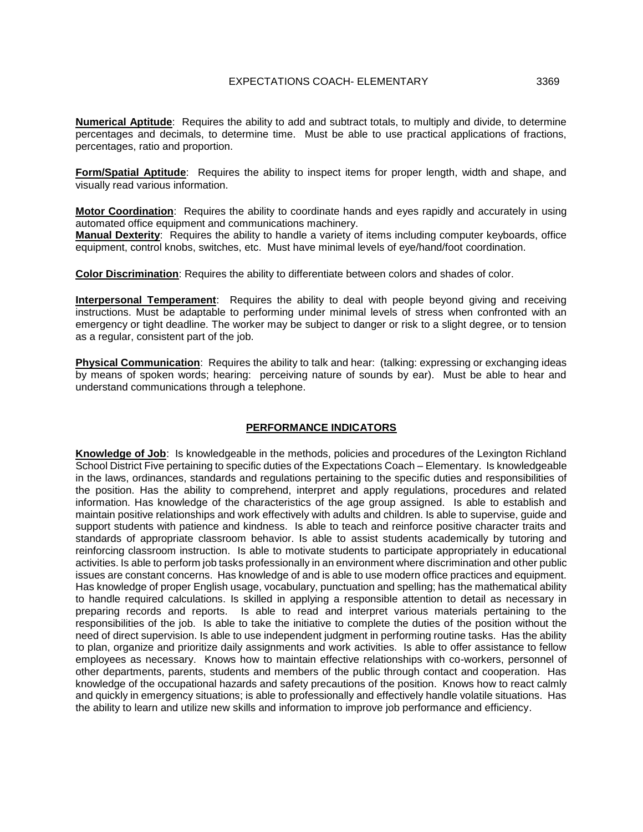**Numerical Aptitude**: Requires the ability to add and subtract totals, to multiply and divide, to determine percentages and decimals, to determine time. Must be able to use practical applications of fractions, percentages, ratio and proportion.

**Form/Spatial Aptitude**: Requires the ability to inspect items for proper length, width and shape, and visually read various information.

**Motor Coordination**: Requires the ability to coordinate hands and eyes rapidly and accurately in using automated office equipment and communications machinery.

**Manual Dexterity**: Requires the ability to handle a variety of items including computer keyboards, office equipment, control knobs, switches, etc. Must have minimal levels of eye/hand/foot coordination.

**Color Discrimination**: Requires the ability to differentiate between colors and shades of color.

**Interpersonal Temperament**: Requires the ability to deal with people beyond giving and receiving instructions. Must be adaptable to performing under minimal levels of stress when confronted with an emergency or tight deadline. The worker may be subject to danger or risk to a slight degree, or to tension as a regular, consistent part of the job.

**Physical Communication**: Requires the ability to talk and hear: (talking: expressing or exchanging ideas by means of spoken words; hearing: perceiving nature of sounds by ear). Must be able to hear and understand communications through a telephone.

### **PERFORMANCE INDICATORS**

**Knowledge of Job**: Is knowledgeable in the methods, policies and procedures of the Lexington Richland School District Five pertaining to specific duties of the Expectations Coach – Elementary. Is knowledgeable in the laws, ordinances, standards and regulations pertaining to the specific duties and responsibilities of the position. Has the ability to comprehend, interpret and apply regulations, procedures and related information. Has knowledge of the characteristics of the age group assigned. Is able to establish and maintain positive relationships and work effectively with adults and children. Is able to supervise, guide and support students with patience and kindness. Is able to teach and reinforce positive character traits and standards of appropriate classroom behavior. Is able to assist students academically by tutoring and reinforcing classroom instruction. Is able to motivate students to participate appropriately in educational activities. Is able to perform job tasks professionally in an environment where discrimination and other public issues are constant concerns. Has knowledge of and is able to use modern office practices and equipment. Has knowledge of proper English usage, vocabulary, punctuation and spelling; has the mathematical ability to handle required calculations. Is skilled in applying a responsible attention to detail as necessary in preparing records and reports. Is able to read and interpret various materials pertaining to the responsibilities of the job. Is able to take the initiative to complete the duties of the position without the need of direct supervision. Is able to use independent judgment in performing routine tasks. Has the ability to plan, organize and prioritize daily assignments and work activities. Is able to offer assistance to fellow employees as necessary. Knows how to maintain effective relationships with co-workers, personnel of other departments, parents, students and members of the public through contact and cooperation. Has knowledge of the occupational hazards and safety precautions of the position. Knows how to react calmly and quickly in emergency situations; is able to professionally and effectively handle volatile situations. Has the ability to learn and utilize new skills and information to improve job performance and efficiency.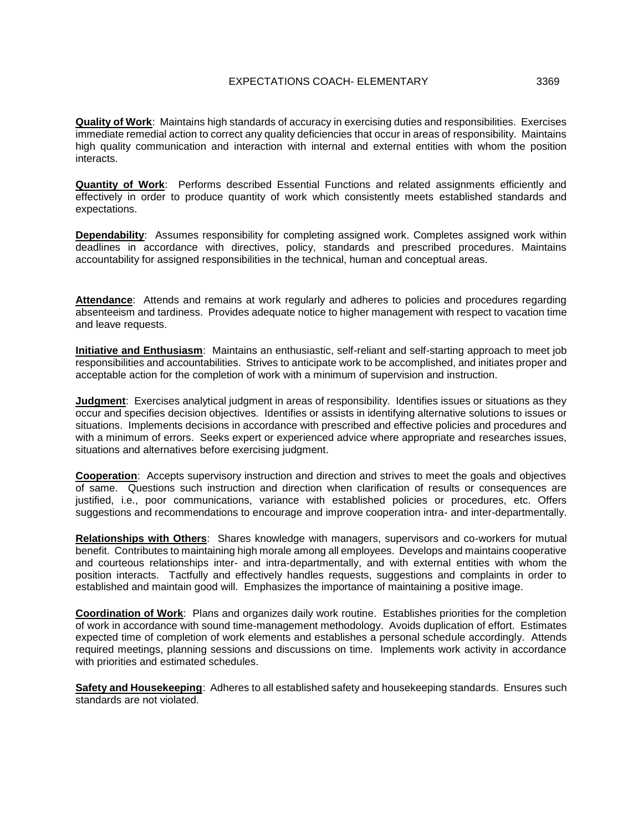**Quality of Work**: Maintains high standards of accuracy in exercising duties and responsibilities. Exercises immediate remedial action to correct any quality deficiencies that occur in areas of responsibility. Maintains high quality communication and interaction with internal and external entities with whom the position interacts.

**Quantity of Work**: Performs described Essential Functions and related assignments efficiently and effectively in order to produce quantity of work which consistently meets established standards and expectations.

**Dependability**: Assumes responsibility for completing assigned work. Completes assigned work within deadlines in accordance with directives, policy, standards and prescribed procedures. Maintains accountability for assigned responsibilities in the technical, human and conceptual areas.

**Attendance**: Attends and remains at work regularly and adheres to policies and procedures regarding absenteeism and tardiness. Provides adequate notice to higher management with respect to vacation time and leave requests.

**Initiative and Enthusiasm**: Maintains an enthusiastic, self-reliant and self-starting approach to meet job responsibilities and accountabilities. Strives to anticipate work to be accomplished, and initiates proper and acceptable action for the completion of work with a minimum of supervision and instruction.

**Judgment**: Exercises analytical judgment in areas of responsibility. Identifies issues or situations as they occur and specifies decision objectives. Identifies or assists in identifying alternative solutions to issues or situations. Implements decisions in accordance with prescribed and effective policies and procedures and with a minimum of errors. Seeks expert or experienced advice where appropriate and researches issues, situations and alternatives before exercising judgment.

**Cooperation**: Accepts supervisory instruction and direction and strives to meet the goals and objectives of same. Questions such instruction and direction when clarification of results or consequences are justified, i.e., poor communications, variance with established policies or procedures, etc. Offers suggestions and recommendations to encourage and improve cooperation intra- and inter-departmentally.

**Relationships with Others**: Shares knowledge with managers, supervisors and co-workers for mutual benefit. Contributes to maintaining high morale among all employees. Develops and maintains cooperative and courteous relationships inter- and intra-departmentally, and with external entities with whom the position interacts. Tactfully and effectively handles requests, suggestions and complaints in order to established and maintain good will. Emphasizes the importance of maintaining a positive image.

**Coordination of Work**: Plans and organizes daily work routine. Establishes priorities for the completion of work in accordance with sound time-management methodology. Avoids duplication of effort. Estimates expected time of completion of work elements and establishes a personal schedule accordingly. Attends required meetings, planning sessions and discussions on time. Implements work activity in accordance with priorities and estimated schedules.

**Safety and Housekeeping**: Adheres to all established safety and housekeeping standards. Ensures such standards are not violated.